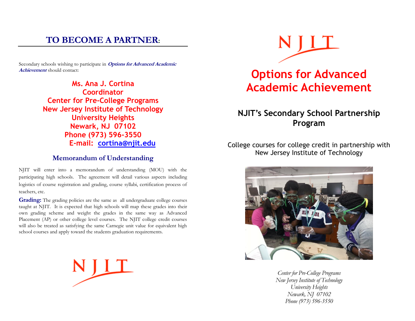# **TO BECOME A PARTNER:**

Secondary schools wishing to participate in **Options for Advanced Academic Achievement** should contact:

> **Ms. Ana J. Cortina Coordinator Center for Pre-College Programs New Jersey Institute of Technology University Heights Newark, NJ 07102 Phone (973) 596-3550 E-mail: [cortina@njit.edu](mailto:cortina@njit.edu)**

#### **Memorandum of Understanding**

NJIT will enter into a memorandum of understanding (MOU) with the participating high schools. The agreement will detail various aspects including logistics of course registration and grading, course syllabi, certification process of teachers, etc.

**Grading:** The grading policies are the same as all undergraduate college courses taught at NJIT. It is expected that high schools will map these grades into their own grading scheme and weight the grades in the same way as Advanced Placement (AP) or other college level courses. The NJIT college credit courses will also be treated as satisfying the same Carnegie unit value for equivalent high school courses and apply toward the students graduation requirements.



# **Options for Advanced Academic Achievement**

#### **NJIT's Secondary School Partnership Program**

College courses for college credit in partnership with New Jersey Institute of Technology



*Center for Pre-College Programs New Jersey Institute of Technology University Heights Newark, NJ 07102 Phone (973) 596-3550*